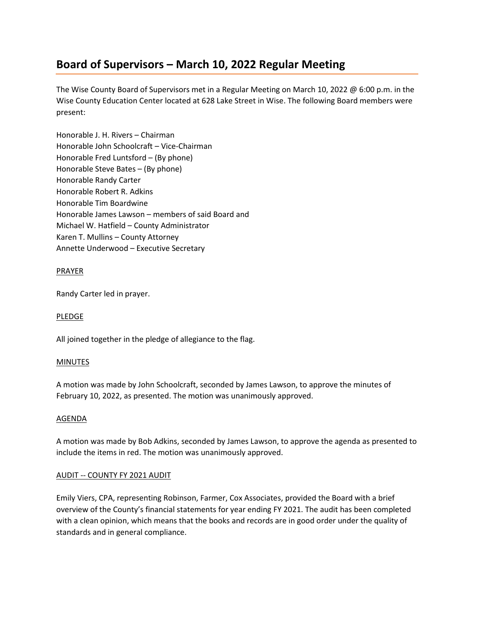# **Board of Supervisors – March 10, 2022 Regular Meeting**

The Wise County Board of Supervisors met in a Regular Meeting on March 10, 2022 @ 6:00 p.m. in the Wise County Education Center located at 628 Lake Street in Wise. The following Board members were present:

Honorable J. H. Rivers – Chairman Honorable John Schoolcraft – Vice-Chairman Honorable Fred Luntsford – (By phone) Honorable Steve Bates – (By phone) Honorable Randy Carter Honorable Robert R. Adkins Honorable Tim Boardwine Honorable James Lawson – members of said Board and Michael W. Hatfield – County Administrator Karen T. Mullins – County Attorney Annette Underwood – Executive Secretary

# PRAYER

Randy Carter led in prayer.

# PLEDGE

All joined together in the pledge of allegiance to the flag.

# MINUTES

A motion was made by John Schoolcraft, seconded by James Lawson, to approve the minutes of February 10, 2022, as presented. The motion was unanimously approved.

# AGENDA

A motion was made by Bob Adkins, seconded by James Lawson, to approve the agenda as presented to include the items in red. The motion was unanimously approved.

# AUDIT -- COUNTY FY 2021 AUDIT

Emily Viers, CPA, representing Robinson, Farmer, Cox Associates, provided the Board with a brief overview of the County's financial statements for year ending FY 2021. The audit has been completed with a clean opinion, which means that the books and records are in good order under the quality of standards and in general compliance.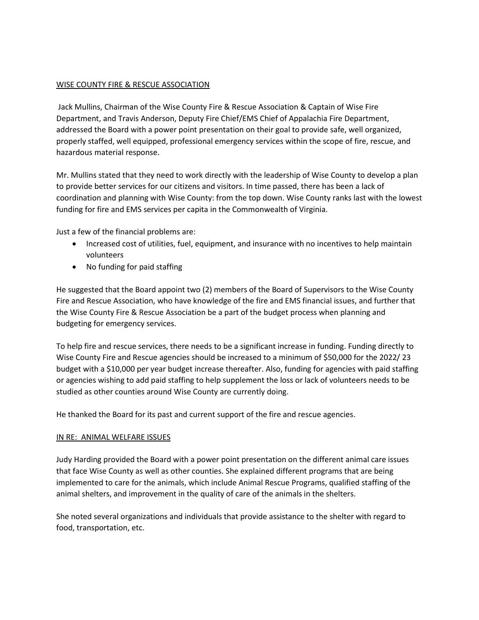# WISE COUNTY FIRE & RESCUE ASSOCIATION

Jack Mullins, Chairman of the Wise County Fire & Rescue Association & Captain of Wise Fire Department, and Travis Anderson, Deputy Fire Chief/EMS Chief of Appalachia Fire Department, addressed the Board with a power point presentation on their goal to provide safe, well organized, properly staffed, well equipped, professional emergency services within the scope of fire, rescue, and hazardous material response.

Mr. Mullins stated that they need to work directly with the leadership of Wise County to develop a plan to provide better services for our citizens and visitors. In time passed, there has been a lack of coordination and planning with Wise County: from the top down. Wise County ranks last with the lowest funding for fire and EMS services per capita in the Commonwealth of Virginia.

Just a few of the financial problems are:

- Increased cost of utilities, fuel, equipment, and insurance with no incentives to help maintain volunteers
- No funding for paid staffing

He suggested that the Board appoint two (2) members of the Board of Supervisors to the Wise County Fire and Rescue Association, who have knowledge of the fire and EMS financial issues, and further that the Wise County Fire & Rescue Association be a part of the budget process when planning and budgeting for emergency services.

To help fire and rescue services, there needs to be a significant increase in funding. Funding directly to Wise County Fire and Rescue agencies should be increased to a minimum of \$50,000 for the 2022/ 23 budget with a \$10,000 per year budget increase thereafter. Also, funding for agencies with paid staffing or agencies wishing to add paid staffing to help supplement the loss or lack of volunteers needs to be studied as other counties around Wise County are currently doing.

He thanked the Board for its past and current support of the fire and rescue agencies.

# IN RE: ANIMAL WELFARE ISSUES

Judy Harding provided the Board with a power point presentation on the different animal care issues that face Wise County as well as other counties. She explained different programs that are being implemented to care for the animals, which include Animal Rescue Programs, qualified staffing of the animal shelters, and improvement in the quality of care of the animals in the shelters.

She noted several organizations and individuals that provide assistance to the shelter with regard to food, transportation, etc.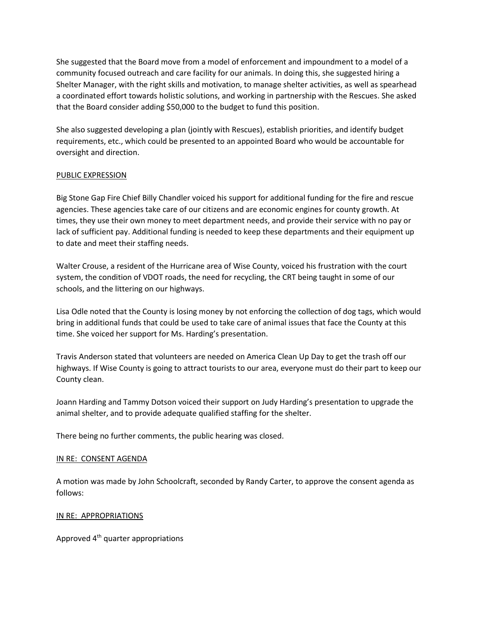She suggested that the Board move from a model of enforcement and impoundment to a model of a community focused outreach and care facility for our animals. In doing this, she suggested hiring a Shelter Manager, with the right skills and motivation, to manage shelter activities, as well as spearhead a coordinated effort towards holistic solutions, and working in partnership with the Rescues. She asked that the Board consider adding \$50,000 to the budget to fund this position.

She also suggested developing a plan (jointly with Rescues), establish priorities, and identify budget requirements, etc., which could be presented to an appointed Board who would be accountable for oversight and direction.

# PUBLIC EXPRESSION

Big Stone Gap Fire Chief Billy Chandler voiced his support for additional funding for the fire and rescue agencies. These agencies take care of our citizens and are economic engines for county growth. At times, they use their own money to meet department needs, and provide their service with no pay or lack of sufficient pay. Additional funding is needed to keep these departments and their equipment up to date and meet their staffing needs.

Walter Crouse, a resident of the Hurricane area of Wise County, voiced his frustration with the court system, the condition of VDOT roads, the need for recycling, the CRT being taught in some of our schools, and the littering on our highways.

Lisa Odle noted that the County is losing money by not enforcing the collection of dog tags, which would bring in additional funds that could be used to take care of animal issues that face the County at this time. She voiced her support for Ms. Harding's presentation.

Travis Anderson stated that volunteers are needed on America Clean Up Day to get the trash off our highways. If Wise County is going to attract tourists to our area, everyone must do their part to keep our County clean.

Joann Harding and Tammy Dotson voiced their support on Judy Harding's presentation to upgrade the animal shelter, and to provide adequate qualified staffing for the shelter.

There being no further comments, the public hearing was closed.

# IN RE: CONSENT AGENDA

A motion was made by John Schoolcraft, seconded by Randy Carter, to approve the consent agenda as follows:

# IN RE: APPROPRIATIONS

Approved 4th quarter appropriations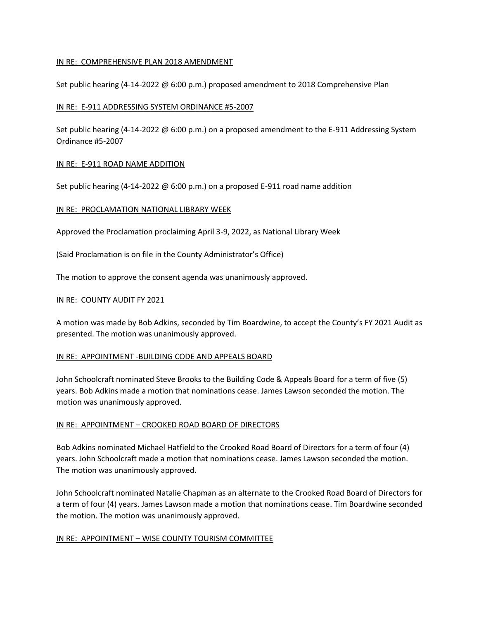# IN RE: COMPREHENSIVE PLAN 2018 AMENDMENT

Set public hearing (4-14-2022 @ 6:00 p.m.) proposed amendment to 2018 Comprehensive Plan

#### IN RE: E-911 ADDRESSING SYSTEM ORDINANCE #5-2007

Set public hearing (4-14-2022 @ 6:00 p.m.) on a proposed amendment to the E-911 Addressing System Ordinance #5-2007

#### IN RE: E-911 ROAD NAME ADDITION

Set public hearing (4-14-2022 @ 6:00 p.m.) on a proposed E-911 road name addition

#### IN RE: PROCLAMATION NATIONAL LIBRARY WEEK

Approved the Proclamation proclaiming April 3-9, 2022, as National Library Week

(Said Proclamation is on file in the County Administrator's Office)

The motion to approve the consent agenda was unanimously approved.

#### IN RE: COUNTY AUDIT FY 2021

A motion was made by Bob Adkins, seconded by Tim Boardwine, to accept the County's FY 2021 Audit as presented. The motion was unanimously approved.

#### IN RE: APPOINTMENT -BUILDING CODE AND APPEALS BOARD

John Schoolcraft nominated Steve Brooks to the Building Code & Appeals Board for a term of five (5) years. Bob Adkins made a motion that nominations cease. James Lawson seconded the motion. The motion was unanimously approved.

#### IN RE: APPOINTMENT – CROOKED ROAD BOARD OF DIRECTORS

Bob Adkins nominated Michael Hatfield to the Crooked Road Board of Directors for a term of four (4) years. John Schoolcraft made a motion that nominations cease. James Lawson seconded the motion. The motion was unanimously approved.

John Schoolcraft nominated Natalie Chapman as an alternate to the Crooked Road Board of Directors for a term of four (4) years. James Lawson made a motion that nominations cease. Tim Boardwine seconded the motion. The motion was unanimously approved.

#### IN RE: APPOINTMENT - WISE COUNTY TOURISM COMMITTEE